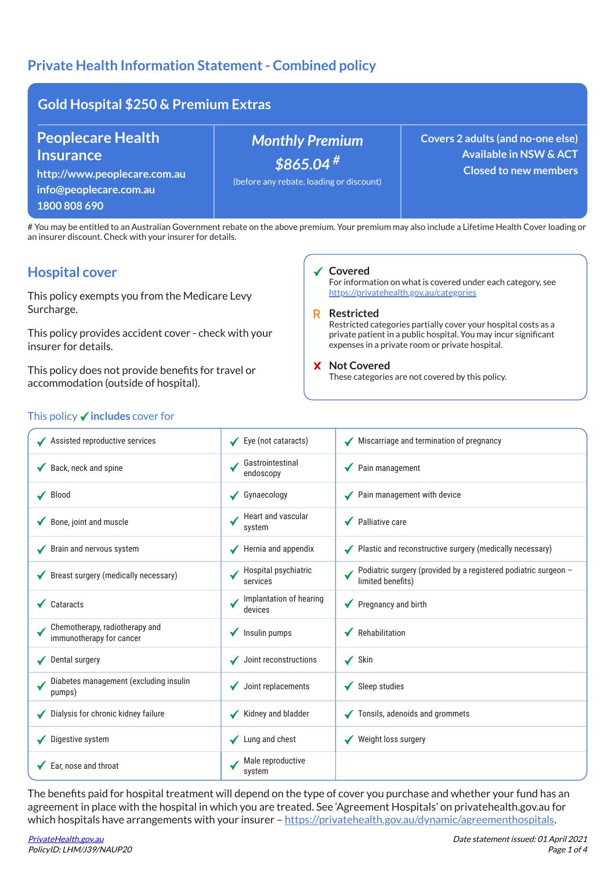# Private Health Information Statement - Combined policy

| <b>Gold Hospital \$250 &amp; Premium Extras</b>                                                                        |                                                                                   |                                                                                                        |  |  |
|------------------------------------------------------------------------------------------------------------------------|-----------------------------------------------------------------------------------|--------------------------------------------------------------------------------------------------------|--|--|
| <b>Peoplecare Health</b><br><b>Insurance</b><br>http://www.peoplecare.com.au<br>info@peoplecare.com.au<br>1800 808 690 | <b>Monthly Premium</b><br>$$865.04$ #<br>(before any rebate, loading or discount) | Covers 2 adults (and no-one else)<br><b>Available in NSW &amp; ACT</b><br><b>Closed to new members</b> |  |  |

# You may be entitled to an Australian Government rebate on the above premium. Your premium may also include a Lifetime Health Cover loading or an insurer discount. Check with your insurer for details.

## Hospital cover

| <b>Hospital cover</b>                                                                                                                         |                                    | ✔ Covered<br>For information on what is covered under each category, see                                                                                                                                                                                                                                                                                      |  |  |
|-----------------------------------------------------------------------------------------------------------------------------------------------|------------------------------------|---------------------------------------------------------------------------------------------------------------------------------------------------------------------------------------------------------------------------------------------------------------------------------------------------------------------------------------------------------------|--|--|
| This policy exempts you from the Medicare Levy<br>Surcharge.<br>This policy provides accident cover - check with your<br>insurer for details. |                                    | https://privatehealth.gov.au/categories<br><b>Restricted</b><br>R<br>Restricted categories partially cover your hospital costs as a<br>private patient in a public hospital. You may incur significant<br>expenses in a private room or private hospital.                                                                                                     |  |  |
|                                                                                                                                               |                                    |                                                                                                                                                                                                                                                                                                                                                               |  |  |
| This policy $\checkmark$ includes cover for                                                                                                   |                                    |                                                                                                                                                                                                                                                                                                                                                               |  |  |
| ◆ Assisted reproductive services                                                                                                              | ✔ Eye (not cataracts)              | Miscarriage and termination of pregnancy                                                                                                                                                                                                                                                                                                                      |  |  |
| Back, neck and spine                                                                                                                          | Gastrointestinal<br>endoscopy      | Pain management                                                                                                                                                                                                                                                                                                                                               |  |  |
| $\sqrt{\phantom{a}}$ Blood                                                                                                                    | $\checkmark$ Gynaecology           | ◆ Pain management with device                                                                                                                                                                                                                                                                                                                                 |  |  |
| ◆ Bone, joint and muscle                                                                                                                      | Heart and vascular<br>system       | ◆ Palliative care                                                                                                                                                                                                                                                                                                                                             |  |  |
| Brain and nervous system                                                                                                                      | Hernia and appendix                | ◆ Plastic and reconstructive surgery (medically necessary)                                                                                                                                                                                                                                                                                                    |  |  |
| ◆ Breast surgery (medically necessary)                                                                                                        | Hospital psychiatric<br>services   | Podiatric surgery (provided by a registered podiatric surgeon -<br>limited benefits)                                                                                                                                                                                                                                                                          |  |  |
| $\sqrt{\phantom{a}}$ Cataracts                                                                                                                | Implantation of hearing<br>devices | ◆ Pregnancy and birth                                                                                                                                                                                                                                                                                                                                         |  |  |
| Chemotherapy, radiotherapy and<br>immunotherapy for cancer                                                                                    | $\sqrt{\phantom{a}}$ Insulin pumps | ◆ Rehabilitation                                                                                                                                                                                                                                                                                                                                              |  |  |
| Dental surgery                                                                                                                                | $\checkmark$ Joint reconstructions | $\checkmark$ Skin                                                                                                                                                                                                                                                                                                                                             |  |  |
| Diabetes management (excluding insulin<br>pumps)                                                                                              | $\blacklozenge$ Joint replacements | $\checkmark$ Sleep studies                                                                                                                                                                                                                                                                                                                                    |  |  |
| Dialysis for chronic kidney failure                                                                                                           | Kidney and bladder                 | ✔ Tonsils, adenoids and grommets                                                                                                                                                                                                                                                                                                                              |  |  |
| Digestive system                                                                                                                              | Lung and chest                     | Weight loss surgery                                                                                                                                                                                                                                                                                                                                           |  |  |
| Ear, nose and throat                                                                                                                          | Male reproductive<br>system        |                                                                                                                                                                                                                                                                                                                                                               |  |  |
|                                                                                                                                               |                                    | The benefits paid for hospital treatment will depend on the type of cover you purchase and whether your fund has an<br>agreement in place with the hospital in which you are treated. See 'Agreement Hospitals' on privatehealth.gov.au for<br>which hospitals have arrangements with your insurer – https://privatehealth.gov.au/dynamic/agreementhospitals. |  |  |

## This policy  $\checkmark$  includes cover for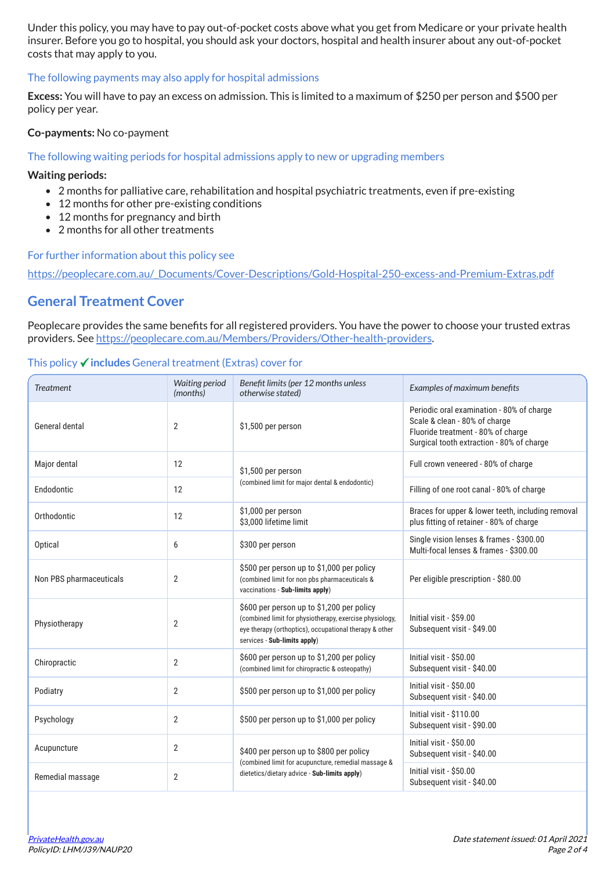Under this policy, you may have to pay out-of-pocket costs above what you get from Medicare or your private health insurer. Before you go to hospital, you should ask your doctors, hospital and health insurer about any out-of-pocket costs that may apply to you.

### The following payments may also apply for hospital admissions

Excess: You will have to pay an excess on admission. This is limited to a maximum of \$250 per person and \$500 per policy per year.

### Co-payments: No co-payment

### The following waiting periods for hospital admissions apply to new or upgrading members

#### Waiting periods:

- 2 months for palliative care, rehabilitation and hospital psychiatric treatments, even if pre-existing
- 12 months for other pre-existing conditions
- 12 months for pregnancy and birth
- 2 months for all other treatments

For further information about this policy see

[https://peoplecare.com.au/\\_Documents/Cover-Descriptions/Gold-Hospital-250-excess-and-Premium-Extras.pdf](https://peoplecare.com.au/_Documents/Cover-Descriptions/Gold-Hospital-250-excess-and-Premium-Extras.pdf)

## General Treatment Cover

Peoplecare provides the same benefits for all registered providers. You have the power to choose your trusted extras providers. See [https://peoplecare.com.au/Members/Providers/Other-health-providers.](https://peoplecare.com.au/Members/Providers/Other-health-providers)

### This policy  $\checkmark$  includes General treatment (Extras) cover for

| <b>Treatment</b>        | <b>Waiting period</b><br>(months) | Benefit limits (per 12 months unless<br>otherwise stated)                                                                                                                                      | Examples of maximum benefits                                                                                                                                  |
|-------------------------|-----------------------------------|------------------------------------------------------------------------------------------------------------------------------------------------------------------------------------------------|---------------------------------------------------------------------------------------------------------------------------------------------------------------|
| General dental          | $\overline{2}$                    | \$1,500 per person                                                                                                                                                                             | Periodic oral examination - 80% of charge<br>Scale & clean - 80% of charge<br>Fluoride treatment - 80% of charge<br>Surgical tooth extraction - 80% of charge |
| Major dental            | 12                                | \$1,500 per person                                                                                                                                                                             | Full crown veneered - 80% of charge                                                                                                                           |
| Endodontic              | 12                                | (combined limit for major dental & endodontic)                                                                                                                                                 | Filling of one root canal - 80% of charge                                                                                                                     |
| Orthodontic             | 12                                | \$1,000 per person<br>\$3,000 lifetime limit                                                                                                                                                   | Braces for upper & lower teeth, including removal<br>plus fitting of retainer - 80% of charge                                                                 |
| Optical                 | 6                                 | \$300 per person                                                                                                                                                                               | Single vision lenses & frames - \$300.00<br>Multi-focal lenses & frames - \$300.00                                                                            |
| Non PBS pharmaceuticals | $\overline{2}$                    | \$500 per person up to \$1,000 per policy<br>(combined limit for non pbs pharmaceuticals &<br>vaccinations - Sub-limits apply)                                                                 | Per eligible prescription - \$80.00                                                                                                                           |
| Physiotherapy           | $\overline{2}$                    | \$600 per person up to \$1,200 per policy<br>(combined limit for physiotherapy, exercise physiology,<br>eye therapy (orthoptics), occupational therapy & other<br>services - Sub-limits apply) | Initial visit - \$59.00<br>Subsequent visit - \$49.00                                                                                                         |
| Chiropractic            | $\overline{2}$                    | \$600 per person up to \$1,200 per policy<br>(combined limit for chiropractic & osteopathy)                                                                                                    | Initial visit - \$50.00<br>Subsequent visit - \$40.00                                                                                                         |
| Podiatry                | $\overline{2}$                    | \$500 per person up to \$1,000 per policy                                                                                                                                                      | Initial visit - \$50.00<br>Subsequent visit - \$40.00                                                                                                         |
| Psychology              | $\overline{2}$                    | \$500 per person up to \$1,000 per policy                                                                                                                                                      | Initial visit - \$110.00<br>Subsequent visit - \$90.00                                                                                                        |
| Acupuncture             | $\overline{2}$                    | \$400 per person up to \$800 per policy                                                                                                                                                        | Initial visit - \$50.00<br>Subsequent visit - \$40.00                                                                                                         |
| Remedial massage        | $\overline{2}$                    | (combined limit for acupuncture, remedial massage &<br>dietetics/dietary advice - Sub-limits apply)                                                                                            | Initial visit - \$50.00<br>Subsequent visit - \$40.00                                                                                                         |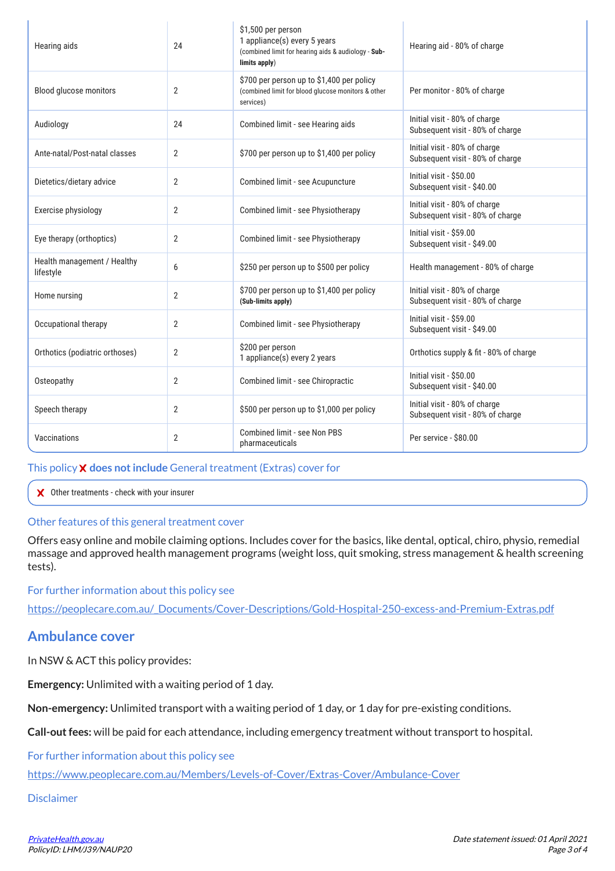| Hearing aids                             | 24             | \$1,500 per person<br>1 appliance(s) every 5 years<br>(combined limit for hearing aids & audiology - Sub-<br>limits apply) | Hearing aid - 80% of charge                                       |
|------------------------------------------|----------------|----------------------------------------------------------------------------------------------------------------------------|-------------------------------------------------------------------|
| Blood glucose monitors                   | $\overline{2}$ | \$700 per person up to \$1,400 per policy<br>(combined limit for blood glucose monitors & other<br>services)               | Per monitor - 80% of charge                                       |
| Audiology                                | 24             | Initial visit - 80% of charge<br>Combined limit - see Hearing aids<br>Subsequent visit - 80% of charge                     |                                                                   |
| Ante-natal/Post-natal classes            | $\overline{2}$ | \$700 per person up to \$1,400 per policy                                                                                  | Initial visit - 80% of charge<br>Subsequent visit - 80% of charge |
| Dietetics/dietary advice                 | 2              | Combined limit - see Acupuncture                                                                                           | Initial visit - \$50.00<br>Subsequent visit - \$40.00             |
| Exercise physiology                      | $\overline{2}$ | Combined limit - see Physiotherapy                                                                                         | Initial visit - 80% of charge<br>Subsequent visit - 80% of charge |
| Eye therapy (orthoptics)                 | $\overline{2}$ | Combined limit - see Physiotherapy                                                                                         | Initial visit - \$59.00<br>Subsequent visit - \$49.00             |
| Health management / Healthy<br>lifestyle | 6              | \$250 per person up to \$500 per policy                                                                                    | Health management - 80% of charge                                 |
| Home nursing                             | $\overline{2}$ | \$700 per person up to \$1,400 per policy<br>(Sub-limits apply)                                                            | Initial visit - 80% of charge<br>Subsequent visit - 80% of charge |
| Occupational therapy                     | $\overline{2}$ | Combined limit - see Physiotherapy                                                                                         | Initial visit - \$59.00<br>Subsequent visit - \$49.00             |
| Orthotics (podiatric orthoses)           | $\overline{2}$ | \$200 per person<br>1 appliance(s) every 2 years                                                                           | Orthotics supply & fit - 80% of charge                            |
| Osteopathy                               | 2              | Combined limit - see Chiropractic                                                                                          | Initial visit - \$50.00<br>Subsequent visit - \$40.00             |
| Speech therapy                           | $\overline{2}$ | \$500 per person up to \$1,000 per policy                                                                                  | Initial visit - 80% of charge<br>Subsequent visit - 80% of charge |
| Vaccinations                             | $\overline{2}$ | Combined limit - see Non PBS<br>pharmaceuticals                                                                            | Per service - \$80.00                                             |

## This policy **X** does not include General treatment (Extras) cover for

Other treatments - check with your insurer

## Other features of this general treatment cover

Offers easy online and mobile claiming options. Includes cover for the basics, like dental, optical, chiro, physio, remedial massage and approved health management programs (weight loss, quit smoking, stress management & health screening te sts ).

For further information about this policy see

[http](https://peoplecare.com.au/_Documents/Cover-Descriptions/Gold-Hospital-250-excess-and-Premium-Extras.pdf)s://peoplecare.com.au/ Documents/Cover-Descriptions/Gold-Hospital-250-excess-and-Premium-Extras.pdf

# Ambulance cover

In NSW & ACT this policy provides:

Emergency: Unlimited with a waiting period of 1 day.

Non-emergency: Unlimited transport with a waiting period of 1 day, or 1 day for pre-existing conditions.

Call-out fees: will be paid for each attendance, including emergency treatment without transport to hospital.

For further information about this policy see

<https://www.peoplecare.com.au/Members/Levels-of-Cover/Extras-Cover/Ambulance-Cover>

Disclaimer